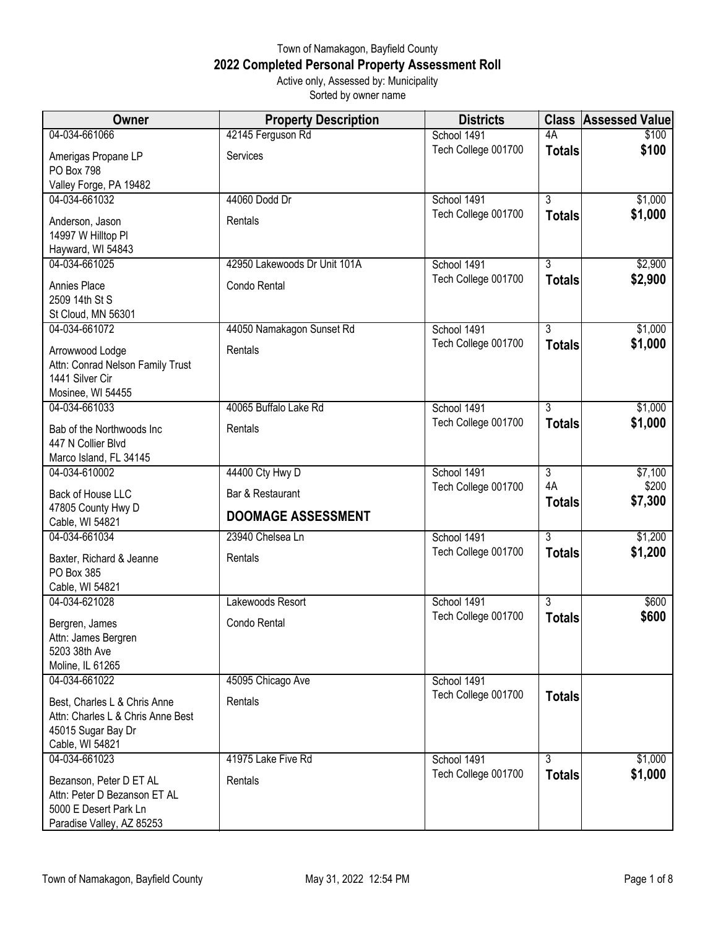## Town of Namakagon, Bayfield County **2022 Completed Personal Property Assessment Roll** Active only, Assessed by: Municipality

Sorted by owner name

| <b>Owner</b>                                                                                                  | <b>Property Description</b>                   | <b>Districts</b>                   | <b>Class</b>   | <b>Assessed Value</b> |
|---------------------------------------------------------------------------------------------------------------|-----------------------------------------------|------------------------------------|----------------|-----------------------|
| 04-034-661066                                                                                                 | 42145 Ferguson Rd                             | School 1491                        | 4A             | \$100                 |
| Amerigas Propane LP<br>PO Box 798                                                                             | Services                                      | Tech College 001700                | <b>Totals</b>  | \$100                 |
| Valley Forge, PA 19482                                                                                        |                                               |                                    |                |                       |
| 04-034-661032                                                                                                 | 44060 Dodd Dr                                 | School 1491                        | $\overline{3}$ | \$1,000               |
| Anderson, Jason<br>14997 W Hilltop PI                                                                         | Rentals                                       | Tech College 001700                | <b>Totals</b>  | \$1,000               |
| Hayward, WI 54843<br>04-034-661025                                                                            | 42950 Lakewoods Dr Unit 101A                  | School 1491                        | 3              | \$2,900               |
|                                                                                                               |                                               | Tech College 001700                | <b>Totals</b>  | \$2,900               |
| Annies Place<br>2509 14th St S<br>St Cloud, MN 56301                                                          | Condo Rental                                  |                                    |                |                       |
| 04-034-661072                                                                                                 | 44050 Namakagon Sunset Rd                     | School 1491                        | $\overline{3}$ | \$1,000               |
| Arrowwood Lodge<br>Attn: Conrad Nelson Family Trust<br>1441 Silver Cir<br>Mosinee, WI 54455                   | Rentals                                       | Tech College 001700                | <b>Totals</b>  | \$1,000               |
| 04-034-661033                                                                                                 | 40065 Buffalo Lake Rd                         | School 1491                        | 3              | \$1,000               |
| Bab of the Northwoods Inc<br>447 N Collier Blvd                                                               | Rentals                                       | Tech College 001700                | <b>Totals</b>  | \$1,000               |
| Marco Island, FL 34145                                                                                        |                                               |                                    | $\overline{3}$ |                       |
| 04-034-610002                                                                                                 | 44400 Cty Hwy D                               | School 1491<br>Tech College 001700 | 4A             | \$7,100<br>\$200      |
| Back of House LLC<br>47805 County Hwy D                                                                       | Bar & Restaurant<br><b>DOOMAGE ASSESSMENT</b> |                                    | <b>Totals</b>  | \$7,300               |
| Cable, WI 54821                                                                                               |                                               |                                    |                |                       |
| 04-034-661034                                                                                                 | 23940 Chelsea Ln                              | School 1491                        | $\overline{3}$ | \$1,200               |
| Baxter, Richard & Jeanne<br>PO Box 385<br>Cable, WI 54821                                                     | Rentals                                       | Tech College 001700                | <b>Totals</b>  | \$1,200               |
| 04-034-621028                                                                                                 | Lakewoods Resort                              | School 1491                        | 3              | \$600                 |
| Bergren, James<br>Attn: James Bergren<br>5203 38th Ave                                                        | Condo Rental                                  | Tech College 001700                | <b>Totals</b>  | \$600                 |
| Moline, IL 61265<br>04-034-661022                                                                             |                                               | School 1491                        |                |                       |
| Best, Charles L & Chris Anne<br>Attn: Charles L & Chris Anne Best<br>45015 Sugar Bay Dr<br>Cable, WI 54821    | 45095 Chicago Ave<br>Rentals                  | Tech College 001700                | <b>Totals</b>  |                       |
| 04-034-661023                                                                                                 | 41975 Lake Five Rd                            | School 1491                        | 3              | \$1,000               |
| Bezanson, Peter D ET AL<br>Attn: Peter D Bezanson ET AL<br>5000 E Desert Park Ln<br>Paradise Valley, AZ 85253 | Rentals                                       | Tech College 001700                | <b>Totals</b>  | \$1,000               |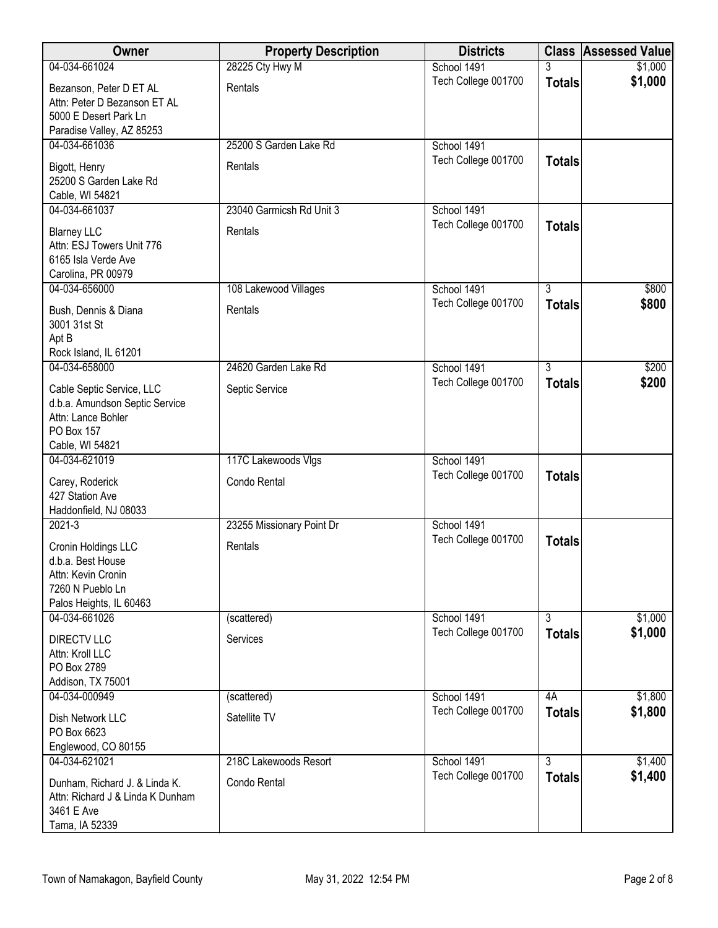| Owner                                                                                                              | <b>Property Description</b> | <b>Districts</b>    |                | <b>Class Assessed Value</b> |
|--------------------------------------------------------------------------------------------------------------------|-----------------------------|---------------------|----------------|-----------------------------|
| 04-034-661024                                                                                                      | 28225 Cty Hwy M             | School 1491         | 3              | \$1,000                     |
| Bezanson, Peter D ET AL<br>Attn: Peter D Bezanson ET AL<br>5000 E Desert Park Ln<br>Paradise Valley, AZ 85253      | Rentals                     | Tech College 001700 | <b>Totals</b>  | \$1,000                     |
| 04-034-661036                                                                                                      | 25200 S Garden Lake Rd      | School 1491         |                |                             |
| Bigott, Henry<br>25200 S Garden Lake Rd<br>Cable, WI 54821                                                         | Rentals                     | Tech College 001700 | <b>Totals</b>  |                             |
| 04-034-661037                                                                                                      | 23040 Garmicsh Rd Unit 3    | School 1491         |                |                             |
| <b>Blarney LLC</b><br>Attn: ESJ Towers Unit 776<br>6165 Isla Verde Ave<br>Carolina, PR 00979                       | Rentals                     | Tech College 001700 | <b>Totals</b>  |                             |
| 04-034-656000                                                                                                      | 108 Lakewood Villages       | School 1491         | $\overline{3}$ | \$800                       |
| Bush, Dennis & Diana<br>3001 31st St<br>Apt B                                                                      | Rentals                     | Tech College 001700 | <b>Totals</b>  | \$800                       |
| Rock Island, IL 61201<br>04-034-658000                                                                             | 24620 Garden Lake Rd        | School 1491         | $\overline{3}$ | \$200                       |
| Cable Septic Service, LLC<br>d.b.a. Amundson Septic Service<br>Attn: Lance Bohler<br>PO Box 157<br>Cable, WI 54821 | Septic Service              | Tech College 001700 | <b>Totals</b>  | \$200                       |
| 04-034-621019                                                                                                      | 117C Lakewoods Vlgs         | School 1491         |                |                             |
| Carey, Roderick<br>427 Station Ave<br>Haddonfield, NJ 08033                                                        | Condo Rental                | Tech College 001700 | <b>Totals</b>  |                             |
| $2021 - 3$                                                                                                         | 23255 Missionary Point Dr   | School 1491         |                |                             |
| Cronin Holdings LLC<br>d.b.a. Best House<br>Attn: Kevin Cronin<br>7260 N Pueblo Ln<br>Palos Heights, IL 60463      | Rentals                     | Tech College 001700 | <b>Totals</b>  |                             |
| 04-034-661026                                                                                                      | (scattered)                 | School 1491         | $\overline{3}$ | \$1,000                     |
| <b>DIRECTV LLC</b><br>Attn: Kroll LLC<br>PO Box 2789<br>Addison, TX 75001                                          | Services                    | Tech College 001700 | <b>Totals</b>  | \$1,000                     |
| 04-034-000949                                                                                                      | (scattered)                 | School 1491         | 4A             | \$1,800                     |
| Dish Network LLC<br>PO Box 6623<br>Englewood, CO 80155                                                             | Satellite TV                | Tech College 001700 | <b>Totals</b>  | \$1,800                     |
| 04-034-621021                                                                                                      | 218C Lakewoods Resort       | School 1491         | $\overline{3}$ | \$1,400                     |
| Dunham, Richard J. & Linda K.<br>Attn: Richard J & Linda K Dunham<br>3461 E Ave<br>Tama, IA 52339                  | Condo Rental                | Tech College 001700 | <b>Totals</b>  | \$1,400                     |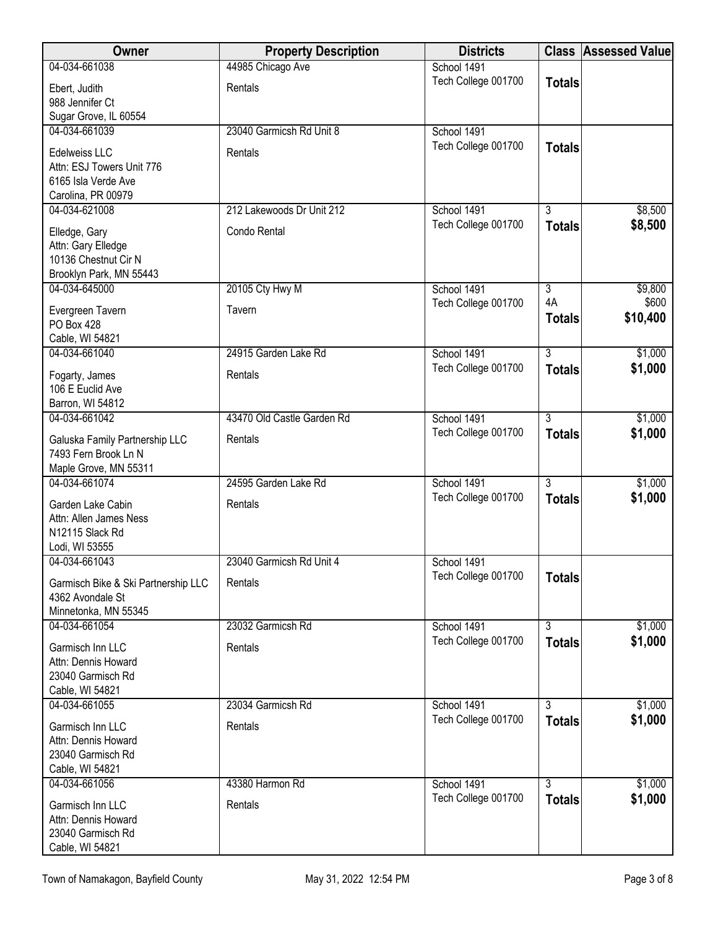| Owner                                                   | <b>Property Description</b> | <b>Districts</b>                   |                | <b>Class Assessed Value</b> |
|---------------------------------------------------------|-----------------------------|------------------------------------|----------------|-----------------------------|
| 04-034-661038                                           | 44985 Chicago Ave           | School 1491                        |                |                             |
| Ebert, Judith                                           | Rentals                     | Tech College 001700                | <b>Totals</b>  |                             |
| 988 Jennifer Ct                                         |                             |                                    |                |                             |
| Sugar Grove, IL 60554                                   |                             |                                    |                |                             |
| 04-034-661039                                           | 23040 Garmicsh Rd Unit 8    | School 1491                        |                |                             |
| Edelweiss LLC<br>Attn: ESJ Towers Unit 776              | Rentals                     | Tech College 001700                | <b>Totals</b>  |                             |
| 6165 Isla Verde Ave                                     |                             |                                    |                |                             |
| Carolina, PR 00979                                      |                             |                                    |                |                             |
| 04-034-621008                                           | 212 Lakewoods Dr Unit 212   | School 1491                        | 3              | \$8,500                     |
| Elledge, Gary                                           | Condo Rental                | Tech College 001700                | <b>Totals</b>  | \$8,500                     |
| Attn: Gary Elledge                                      |                             |                                    |                |                             |
| 10136 Chestnut Cir N                                    |                             |                                    |                |                             |
| Brooklyn Park, MN 55443                                 |                             |                                    |                |                             |
| 04-034-645000                                           | 20105 Cty Hwy M             | School 1491                        | $\overline{3}$ | \$9,800                     |
| Evergreen Tavern                                        | Tavern                      | Tech College 001700                | 4A             | \$600<br>\$10,400           |
| PO Box 428                                              |                             |                                    | <b>Totals</b>  |                             |
| Cable, WI 54821                                         |                             |                                    |                |                             |
| 04-034-661040                                           | 24915 Garden Lake Rd        | School 1491                        | $\overline{3}$ | \$1,000                     |
| Fogarty, James                                          | Rentals                     | Tech College 001700                | <b>Totals</b>  | \$1,000                     |
| 106 E Euclid Ave                                        |                             |                                    |                |                             |
| Barron, WI 54812                                        |                             |                                    |                |                             |
| 04-034-661042                                           | 43470 Old Castle Garden Rd  | School 1491                        | $\overline{3}$ | \$1,000                     |
| Galuska Family Partnership LLC                          | Rentals                     | Tech College 001700                | <b>Totals</b>  | \$1,000                     |
| 7493 Fern Brook Ln N                                    |                             |                                    |                |                             |
| Maple Grove, MN 55311                                   |                             |                                    | $\overline{3}$ |                             |
| 04-034-661074                                           | 24595 Garden Lake Rd        | School 1491<br>Tech College 001700 |                | \$1,000<br>\$1,000          |
| Garden Lake Cabin                                       | Rentals                     |                                    | <b>Totals</b>  |                             |
| Attn: Allen James Ness                                  |                             |                                    |                |                             |
| N12115 Slack Rd<br>Lodi, WI 53555                       |                             |                                    |                |                             |
| 04-034-661043                                           | 23040 Garmicsh Rd Unit 4    | School 1491                        |                |                             |
|                                                         |                             | Tech College 001700                | <b>Totals</b>  |                             |
| Garmisch Bike & Ski Partnership LLC<br>4362 Avondale St | Rentals                     |                                    |                |                             |
| Minnetonka, MN 55345                                    |                             |                                    |                |                             |
| 04-034-661054                                           | 23032 Garmicsh Rd           | School 1491                        | $\overline{3}$ | \$1,000                     |
| Garmisch Inn LLC                                        | Rentals                     | Tech College 001700                | <b>Totals</b>  | \$1,000                     |
| Attn: Dennis Howard                                     |                             |                                    |                |                             |
| 23040 Garmisch Rd                                       |                             |                                    |                |                             |
| Cable, WI 54821                                         |                             |                                    |                |                             |
| 04-034-661055                                           | 23034 Garmicsh Rd           | School 1491                        | 3              | \$1,000                     |
| Garmisch Inn LLC                                        | Rentals                     | Tech College 001700                | <b>Totals</b>  | \$1,000                     |
| Attn: Dennis Howard                                     |                             |                                    |                |                             |
| 23040 Garmisch Rd                                       |                             |                                    |                |                             |
| Cable, WI 54821                                         |                             |                                    |                |                             |
| 04-034-661056                                           | 43380 Harmon Rd             | School 1491                        | $\overline{3}$ | \$1,000                     |
| Garmisch Inn LLC                                        | Rentals                     | Tech College 001700                | <b>Totals</b>  | \$1,000                     |
| Attn: Dennis Howard                                     |                             |                                    |                |                             |
| 23040 Garmisch Rd                                       |                             |                                    |                |                             |
| Cable, WI 54821                                         |                             |                                    |                |                             |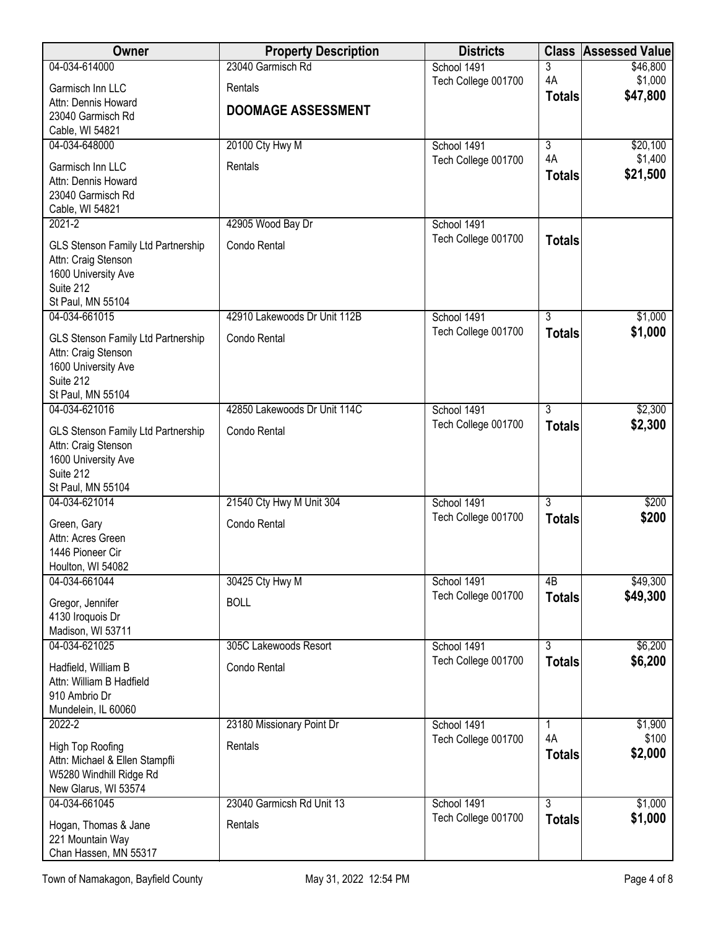| Owner                                                     | <b>Property Description</b>  | <b>Districts</b>                   | <b>Class</b>                    | <b>Assessed Value</b> |
|-----------------------------------------------------------|------------------------------|------------------------------------|---------------------------------|-----------------------|
| 04-034-614000                                             | 23040 Garmisch Rd            | School 1491                        | 3                               | \$46,800              |
| Garmisch Inn LLC                                          | Rentals                      | Tech College 001700                | 4A                              | \$1,000<br>\$47,800   |
| Attn: Dennis Howard                                       | <b>DOOMAGE ASSESSMENT</b>    |                                    | <b>Totals</b>                   |                       |
| 23040 Garmisch Rd<br>Cable, WI 54821                      |                              |                                    |                                 |                       |
| 04-034-648000                                             | 20100 Cty Hwy M              | School 1491                        | $\overline{3}$                  | \$20,100              |
| Garmisch Inn LLC                                          | Rentals                      | Tech College 001700                | 4A                              | \$1,400               |
| Attn: Dennis Howard                                       |                              |                                    | <b>Totals</b>                   | \$21,500              |
| 23040 Garmisch Rd                                         |                              |                                    |                                 |                       |
| Cable, WI 54821<br>$2021 - 2$                             | 42905 Wood Bay Dr            | School 1491                        |                                 |                       |
|                                                           |                              | Tech College 001700                | <b>Totals</b>                   |                       |
| GLS Stenson Family Ltd Partnership<br>Attn: Craig Stenson | Condo Rental                 |                                    |                                 |                       |
| 1600 University Ave                                       |                              |                                    |                                 |                       |
| Suite 212                                                 |                              |                                    |                                 |                       |
| St Paul, MN 55104<br>04-034-661015                        | 42910 Lakewoods Dr Unit 112B | School 1491                        | 3                               | \$1,000               |
|                                                           |                              | Tech College 001700                | <b>Totals</b>                   | \$1,000               |
| GLS Stenson Family Ltd Partnership<br>Attn: Craig Stenson | Condo Rental                 |                                    |                                 |                       |
| 1600 University Ave                                       |                              |                                    |                                 |                       |
| Suite 212                                                 |                              |                                    |                                 |                       |
| St Paul, MN 55104<br>04-034-621016                        | 42850 Lakewoods Dr Unit 114C | School 1491                        | $\overline{3}$                  | \$2,300               |
|                                                           |                              | Tech College 001700                | <b>Totals</b>                   | \$2,300               |
| GLS Stenson Family Ltd Partnership<br>Attn: Craig Stenson | Condo Rental                 |                                    |                                 |                       |
| 1600 University Ave                                       |                              |                                    |                                 |                       |
| Suite 212                                                 |                              |                                    |                                 |                       |
| St Paul, MN 55104<br>04-034-621014                        | 21540 Cty Hwy M Unit 304     | School 1491                        | $\overline{3}$                  | \$200                 |
|                                                           | Condo Rental                 | Tech College 001700                | <b>Totals</b>                   | \$200                 |
| Green, Gary<br>Attn: Acres Green                          |                              |                                    |                                 |                       |
| 1446 Pioneer Cir                                          |                              |                                    |                                 |                       |
| Houlton, WI 54082                                         |                              |                                    |                                 |                       |
| 04-034-661044                                             | 30425 Cty Hwy M              | School 1491<br>Tech College 001700 | 4B                              | \$49,300<br>\$49,300  |
| Gregor, Jennifer                                          | <b>BOLL</b>                  |                                    | <b>Totals</b>                   |                       |
| 4130 Iroquois Dr<br>Madison, WI 53711                     |                              |                                    |                                 |                       |
| 04-034-621025                                             | 305C Lakewoods Resort        | School 1491                        | $\overline{3}$                  | \$6,200               |
| Hadfield, William B                                       | Condo Rental                 | Tech College 001700                | <b>Totals</b>                   | \$6,200               |
| Attn: William B Hadfield                                  |                              |                                    |                                 |                       |
| 910 Ambrio Dr                                             |                              |                                    |                                 |                       |
| Mundelein, IL 60060<br>2022-2                             | 23180 Missionary Point Dr    | School 1491                        | 1                               | \$1,900               |
|                                                           | Rentals                      | Tech College 001700                | 4A                              | \$100                 |
| High Top Roofing<br>Attn: Michael & Ellen Stampfli        |                              |                                    | <b>Totals</b>                   | \$2,000               |
| W5280 Windhill Ridge Rd                                   |                              |                                    |                                 |                       |
| New Glarus, WI 53574                                      |                              |                                    |                                 |                       |
| 04-034-661045                                             | 23040 Garmicsh Rd Unit 13    | School 1491<br>Tech College 001700 | $\overline{3}$<br><b>Totals</b> | \$1,000<br>\$1,000    |
| Hogan, Thomas & Jane                                      | Rentals                      |                                    |                                 |                       |
| 221 Mountain Way<br>Chan Hassen, MN 55317                 |                              |                                    |                                 |                       |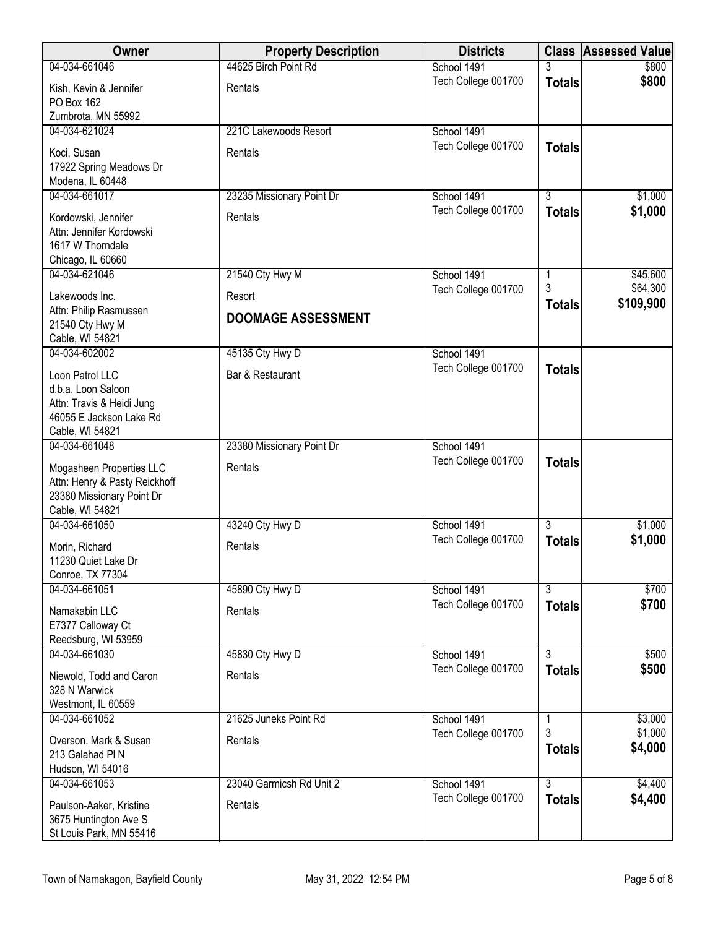| Owner                                                                                                            | <b>Property Description</b> | <b>Districts</b>    |                         | <b>Class Assessed Value</b> |
|------------------------------------------------------------------------------------------------------------------|-----------------------------|---------------------|-------------------------|-----------------------------|
| 04-034-661046                                                                                                    | 44625 Birch Point Rd        | School 1491         |                         | \$800                       |
| Kish, Kevin & Jennifer<br>PO Box 162                                                                             | Rentals                     | Tech College 001700 | <b>Totals</b>           | \$800                       |
| Zumbrota, MN 55992                                                                                               |                             |                     |                         |                             |
| 04-034-621024                                                                                                    | 221C Lakewoods Resort       | School 1491         |                         |                             |
| Koci, Susan<br>17922 Spring Meadows Dr<br>Modena, IL 60448                                                       | Rentals                     | Tech College 001700 | <b>Totals</b>           |                             |
| 04-034-661017                                                                                                    | 23235 Missionary Point Dr   | School 1491         | $\overline{3}$          | \$1,000                     |
| Kordowski, Jennifer<br>Attn: Jennifer Kordowski<br>1617 W Thorndale<br>Chicago, IL 60660                         | Rentals                     | Tech College 001700 | <b>Totals</b>           | \$1,000                     |
| 04-034-621046                                                                                                    | 21540 Cty Hwy M             | School 1491         | 1                       | \$45,600                    |
| Lakewoods Inc.                                                                                                   | Resort                      | Tech College 001700 | 3                       | \$64,300                    |
| Attn: Philip Rasmussen<br>21540 Cty Hwy M<br>Cable, WI 54821                                                     | <b>DOOMAGE ASSESSMENT</b>   |                     | <b>Totals</b>           | \$109,900                   |
| 04-034-602002                                                                                                    | 45135 Cty Hwy D             | School 1491         |                         |                             |
| Loon Patrol LLC<br>d.b.a. Loon Saloon<br>Attn: Travis & Heidi Jung<br>46055 E Jackson Lake Rd<br>Cable, WI 54821 | Bar & Restaurant            | Tech College 001700 | <b>Totals</b>           |                             |
| 04-034-661048                                                                                                    | 23380 Missionary Point Dr   | School 1491         |                         |                             |
| Mogasheen Properties LLC<br>Attn: Henry & Pasty Reickhoff<br>23380 Missionary Point Dr<br>Cable, WI 54821        | Rentals                     | Tech College 001700 | <b>Totals</b>           |                             |
| 04-034-661050                                                                                                    | 43240 Cty Hwy D             | School 1491         | $\overline{3}$          | \$1,000                     |
| Morin, Richard<br>11230 Quiet Lake Dr<br>Conroe, TX 77304                                                        | Rentals                     | Tech College 001700 | <b>Totals</b>           | \$1,000                     |
| 04-034-661051                                                                                                    | 45890 Cty Hwy D             | School 1491         | $\overline{3}$          | \$700                       |
| Namakabin LLC<br>E7377 Calloway Ct<br>Reedsburg, WI 53959                                                        | Rentals                     | Tech College 001700 | <b>Totals</b>           | \$700                       |
| 04-034-661030                                                                                                    | 45830 Cty Hwy D             | School 1491         | $\overline{3}$          | \$500                       |
| Niewold, Todd and Caron<br>328 N Warwick                                                                         | Rentals                     | Tech College 001700 | <b>Totals</b>           | \$500                       |
| Westmont, IL 60559<br>04-034-661052                                                                              | 21625 Juneks Point Rd       | School 1491         |                         | \$3,000                     |
| Overson, Mark & Susan<br>213 Galahad PIN<br>Hudson, WI 54016                                                     | Rentals                     | Tech College 001700 | 1<br>3<br><b>Totals</b> | \$1,000<br>\$4,000          |
| 04-034-661053                                                                                                    | 23040 Garmicsh Rd Unit 2    | School 1491         | $\overline{3}$          | \$4,400                     |
| Paulson-Aaker, Kristine<br>3675 Huntington Ave S<br>St Louis Park, MN 55416                                      | Rentals                     | Tech College 001700 | <b>Totals</b>           | \$4,400                     |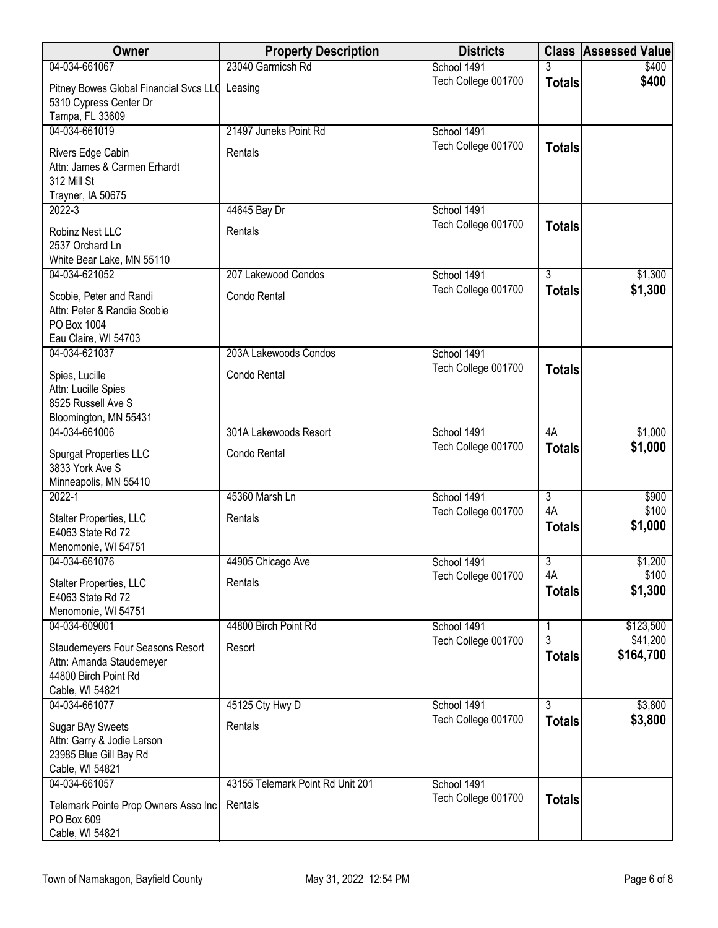| Owner                                                                                                   | <b>Property Description</b>      | <b>Districts</b>    |                           | <b>Class Assessed Value</b> |
|---------------------------------------------------------------------------------------------------------|----------------------------------|---------------------|---------------------------|-----------------------------|
| 04-034-661067                                                                                           | 23040 Garmicsh Rd                | School 1491         | 3                         | \$400                       |
| Pitney Bowes Global Financial Svcs LLC Leasing<br>5310 Cypress Center Dr<br>Tampa, FL 33609             |                                  | Tech College 001700 | <b>Totals</b>             | \$400                       |
| 04-034-661019                                                                                           | 21497 Juneks Point Rd            | School 1491         |                           |                             |
| Rivers Edge Cabin<br>Attn: James & Carmen Erhardt<br>312 Mill St<br>Trayner, IA 50675                   | Rentals                          | Tech College 001700 | <b>Totals</b>             |                             |
| $2022 - 3$                                                                                              | 44645 Bay Dr                     | School 1491         |                           |                             |
| Robinz Nest LLC<br>2537 Orchard Ln<br>White Bear Lake, MN 55110                                         | Rentals                          | Tech College 001700 | <b>Totals</b>             |                             |
| 04-034-621052                                                                                           | 207 Lakewood Condos              | School 1491         | $\overline{3}$            | \$1,300                     |
| Scobie, Peter and Randi<br>Attn: Peter & Randie Scobie<br>PO Box 1004<br>Eau Claire, WI 54703           | Condo Rental                     | Tech College 001700 | <b>Totals</b>             | \$1,300                     |
| 04-034-621037                                                                                           | 203A Lakewoods Condos            | School 1491         |                           |                             |
| Spies, Lucille<br>Attn: Lucille Spies<br>8525 Russell Ave S<br>Bloomington, MN 55431                    | Condo Rental                     | Tech College 001700 | <b>Totals</b>             |                             |
| 04-034-661006                                                                                           | 301A Lakewoods Resort            | School 1491         | 4A                        | \$1,000                     |
| <b>Spurgat Properties LLC</b><br>3833 York Ave S<br>Minneapolis, MN 55410                               | Condo Rental                     | Tech College 001700 | <b>Totals</b>             | \$1,000                     |
| $2022 - 1$                                                                                              | 45360 Marsh Ln                   | School 1491         | $\overline{\overline{3}}$ | \$900                       |
| Stalter Properties, LLC<br>E4063 State Rd 72<br>Menomonie, WI 54751                                     | Rentals                          | Tech College 001700 | 4A<br><b>Totals</b>       | \$100<br>\$1,000            |
| 04-034-661076                                                                                           | 44905 Chicago Ave                | School 1491         | 3                         | \$1,200                     |
| Stalter Properties, LLC<br>E4063 State Rd 72<br>Menomonie, WI 54751                                     | Rentals                          | Tech College 001700 | 4A<br><b>Totals</b>       | \$100<br>\$1,300            |
| 04-034-609001                                                                                           | 44800 Birch Point Rd             | School 1491         | 1                         | \$123,500                   |
| Staudemeyers Four Seasons Resort<br>Attn: Amanda Staudemeyer<br>44800 Birch Point Rd<br>Cable, WI 54821 | Resort                           | Tech College 001700 | 3<br><b>Totals</b>        | \$41,200<br>\$164,700       |
| 04-034-661077                                                                                           | 45125 Cty Hwy D                  | School 1491         | $\overline{3}$            | \$3,800                     |
| Sugar BAy Sweets<br>Attn: Garry & Jodie Larson<br>23985 Blue Gill Bay Rd<br>Cable, WI 54821             | Rentals                          | Tech College 001700 | <b>Totals</b>             | \$3,800                     |
| 04-034-661057                                                                                           | 43155 Telemark Point Rd Unit 201 | School 1491         |                           |                             |
| Telemark Pointe Prop Owners Asso Inc<br>PO Box 609<br>Cable, WI 54821                                   | Rentals                          | Tech College 001700 | <b>Totals</b>             |                             |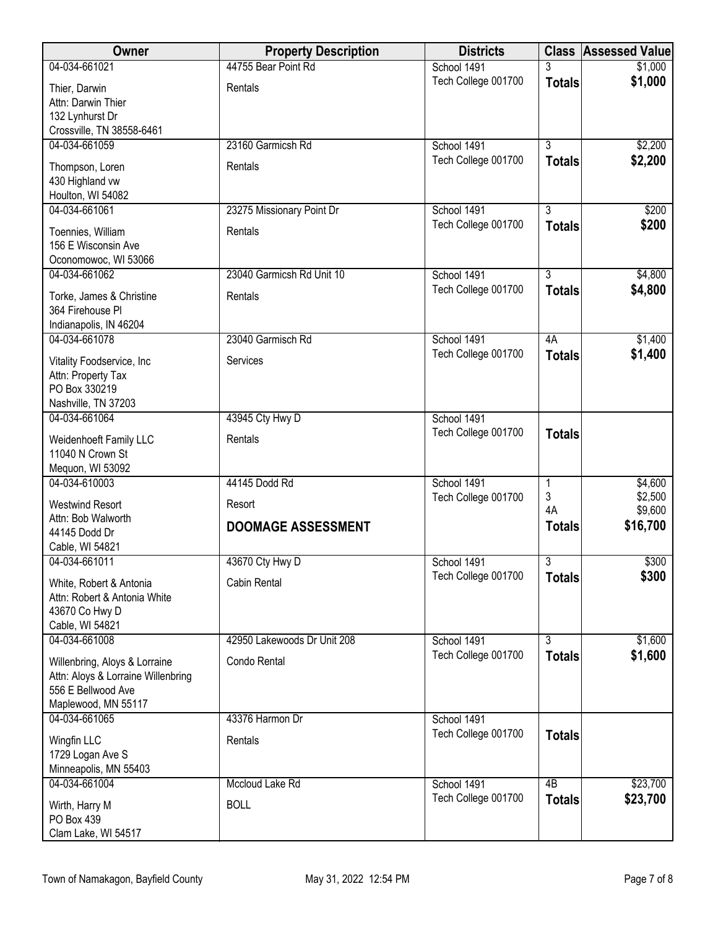| Owner                                                                                                            | <b>Property Description</b> | <b>Districts</b>    | <b>Class</b>        | <b>Assessed Value</b> |
|------------------------------------------------------------------------------------------------------------------|-----------------------------|---------------------|---------------------|-----------------------|
| 04-034-661021                                                                                                    | 44755 Bear Point Rd         | School 1491         | 3                   | \$1,000               |
| Thier, Darwin<br>Attn: Darwin Thier<br>132 Lynhurst Dr<br>Crossville, TN 38558-6461                              | Rentals                     | Tech College 001700 | <b>Totals</b>       | \$1,000               |
| 04-034-661059                                                                                                    | 23160 Garmicsh Rd           | School 1491         | $\overline{3}$      | \$2,200               |
| Thompson, Loren<br>430 Highland vw<br>Houlton, WI 54082                                                          | Rentals                     | Tech College 001700 | <b>Totals</b>       | \$2,200               |
| 04-034-661061                                                                                                    | 23275 Missionary Point Dr   | School 1491         | $\overline{3}$      | \$200                 |
| Toennies, William<br>156 E Wisconsin Ave<br>Oconomowoc, WI 53066                                                 | Rentals                     | Tech College 001700 | <b>Totals</b>       | \$200                 |
| 04-034-661062                                                                                                    | 23040 Garmicsh Rd Unit 10   | School 1491         | $\overline{3}$      | \$4,800               |
| Torke, James & Christine<br>364 Firehouse Pl<br>Indianapolis, IN 46204                                           | Rentals                     | Tech College 001700 | <b>Totals</b>       | \$4,800               |
| 04-034-661078                                                                                                    | 23040 Garmisch Rd           | School 1491         | 4A                  | \$1,400               |
| Vitality Foodservice, Inc<br>Attn: Property Tax<br>PO Box 330219<br>Nashville, TN 37203                          | Services                    | Tech College 001700 | <b>Totals</b>       | \$1,400               |
| 04-034-661064                                                                                                    | 43945 Cty Hwy D             | School 1491         |                     |                       |
| Weidenhoeft Family LLC<br>11040 N Crown St<br>Mequon, WI 53092                                                   | Rentals                     | Tech College 001700 | <b>Totals</b>       |                       |
| 04-034-610003                                                                                                    | 44145 Dodd Rd               | School 1491         | 1                   | \$4,600               |
| <b>Westwind Resort</b>                                                                                           | Resort                      | Tech College 001700 | 3                   | \$2,500               |
| Attn: Bob Walworth<br>44145 Dodd Dr<br>Cable, WI 54821                                                           | <b>DOOMAGE ASSESSMENT</b>   |                     | 4A<br><b>Totals</b> | \$9,600<br>\$16,700   |
| 04-034-661011                                                                                                    | 43670 Cty Hwy D             | School 1491         | 3                   | \$300                 |
| White, Robert & Antonia<br>Attn: Robert & Antonia White<br>43670 Co Hwy D<br>Cable, WI 54821                     | Cabin Rental                | Tech College 001700 | <b>Totals</b>       | \$300                 |
| 04-034-661008                                                                                                    | 42950 Lakewoods Dr Unit 208 | School 1491         | $\overline{3}$      | \$1,600               |
| Willenbring, Aloys & Lorraine<br>Attn: Aloys & Lorraine Willenbring<br>556 E Bellwood Ave<br>Maplewood, MN 55117 | Condo Rental                | Tech College 001700 | <b>Totals</b>       | \$1,600               |
| 04-034-661065                                                                                                    | 43376 Harmon Dr             | School 1491         |                     |                       |
| Wingfin LLC<br>1729 Logan Ave S<br>Minneapolis, MN 55403                                                         | Rentals                     | Tech College 001700 | <b>Totals</b>       |                       |
| 04-034-661004                                                                                                    | Mccloud Lake Rd             | School 1491         | 4B                  | \$23,700              |
| Wirth, Harry M<br>PO Box 439<br>Clam Lake, WI 54517                                                              | <b>BOLL</b>                 | Tech College 001700 | <b>Totals</b>       | \$23,700              |